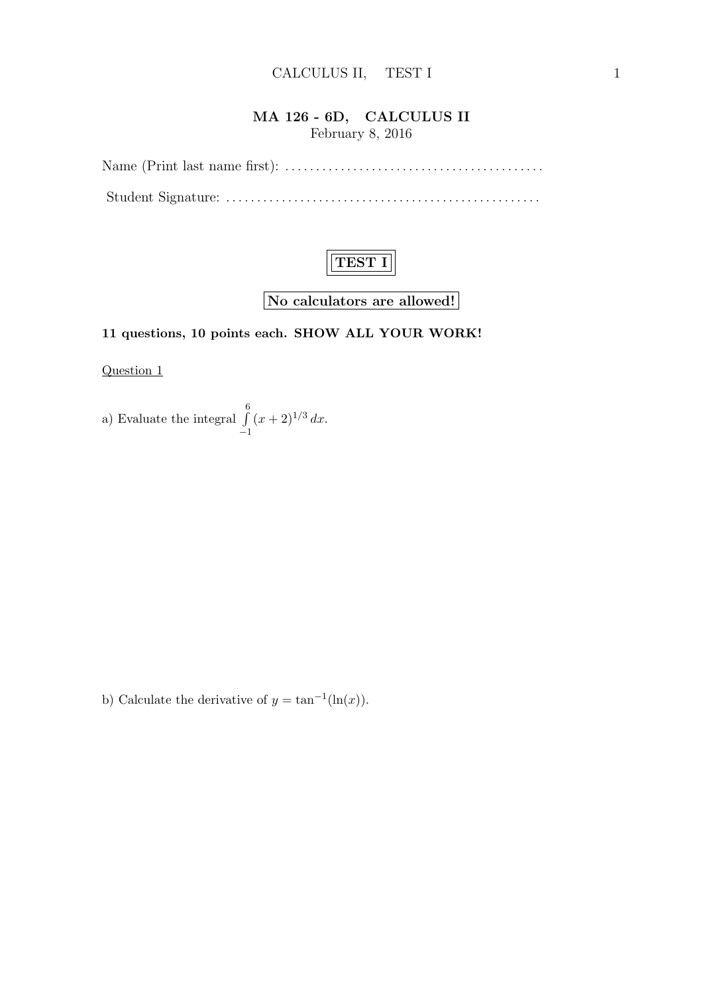### MA 126 - 6D, CALCULUS II February 8, 2016

Name (Print last name first): . . . . . . . . . . . . . . . . . . . . . . . . . . . . . . . . . . . . . . . . . . Student Signature: . . . . . . . . . . . . . . . . . . . . . . . . . . . . . . . . . . . . . . . . . . . . . . . . . . .



No calculators are allowed!

## 11 questions, 10 points each. SHOW ALL YOUR WORK!

Question 1

a) Evaluate the integral 
$$
\int_{-1}^{6} (x+2)^{1/3} dx.
$$

b) Calculate the derivative of  $y = \tan^{-1}(\ln(x))$ .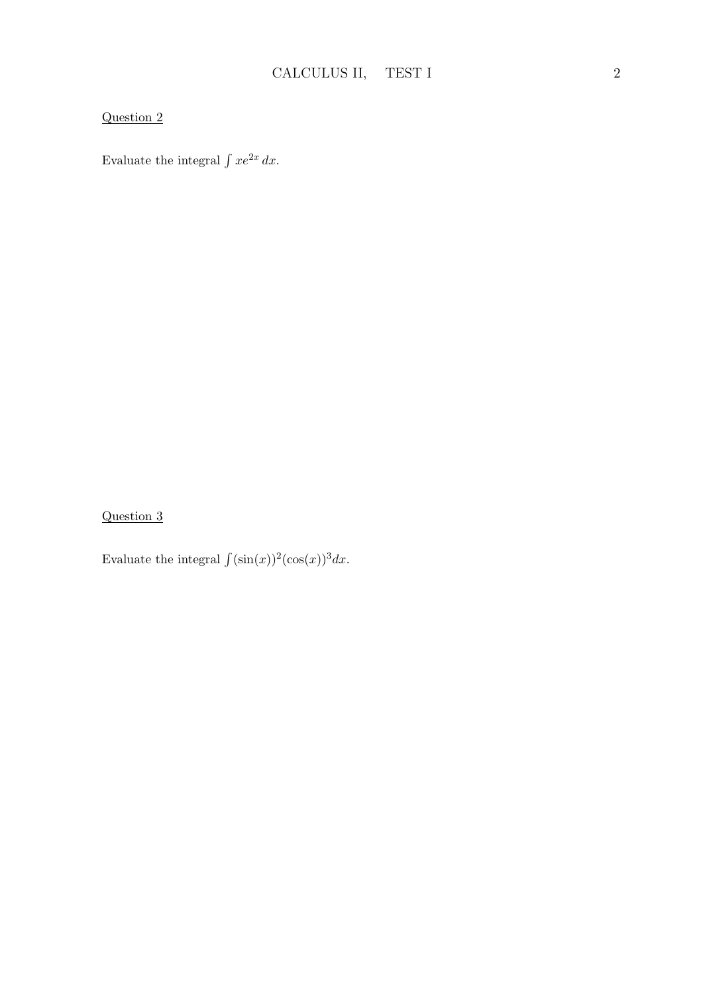Evaluate the integral  $\int xe^{2x} dx$ .

Question 3

Evaluate the integral  $\int (\sin(x))^2 (\cos(x))^3 dx$ .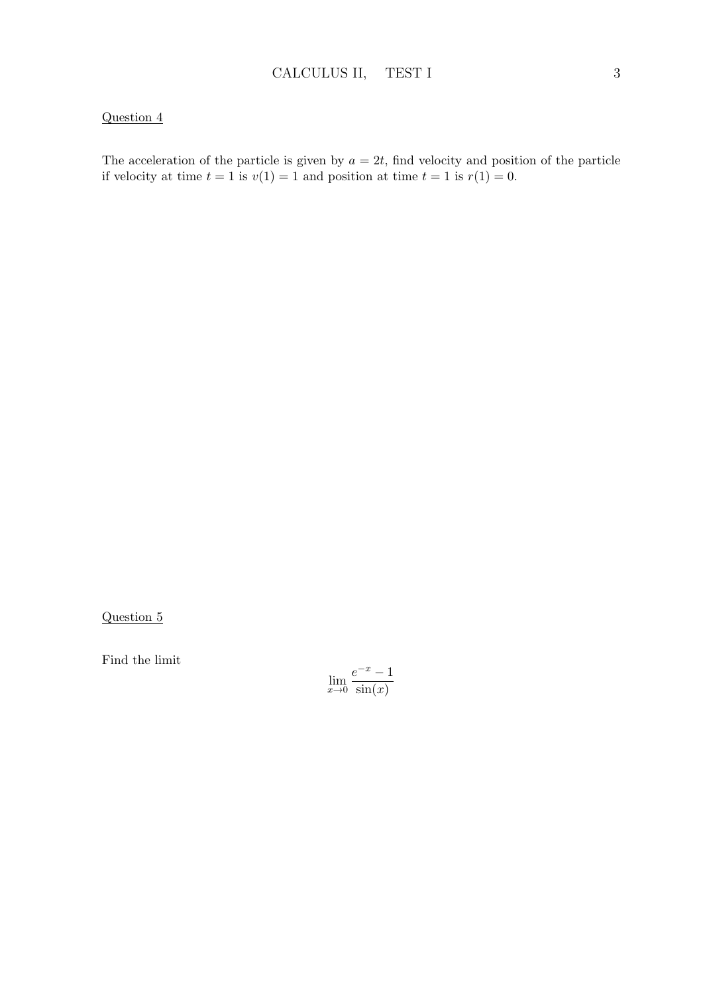The acceleration of the particle is given by  $a = 2t$ , find velocity and position of the particle if velocity at time  $t = 1$  is  $v(1) = 1$  and position at time  $t = 1$  is  $r(1) = 0$ .

Question 5

Find the limit

$$
\lim_{x \to 0} \frac{e^{-x} - 1}{\sin(x)}
$$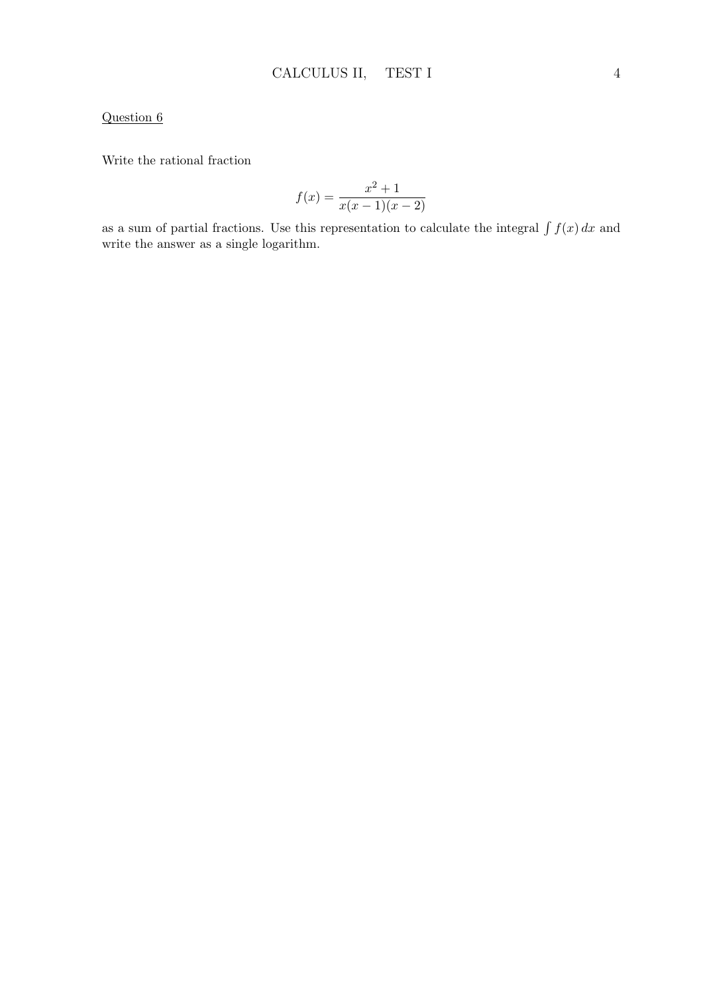Write the rational fraction

$$
f(x) = \frac{x^2 + 1}{x(x - 1)(x - 2)}
$$

as a sum of partial fractions. Use this representation to calculate the integral  $\int f(x) dx$  and write the answer as a single logarithm.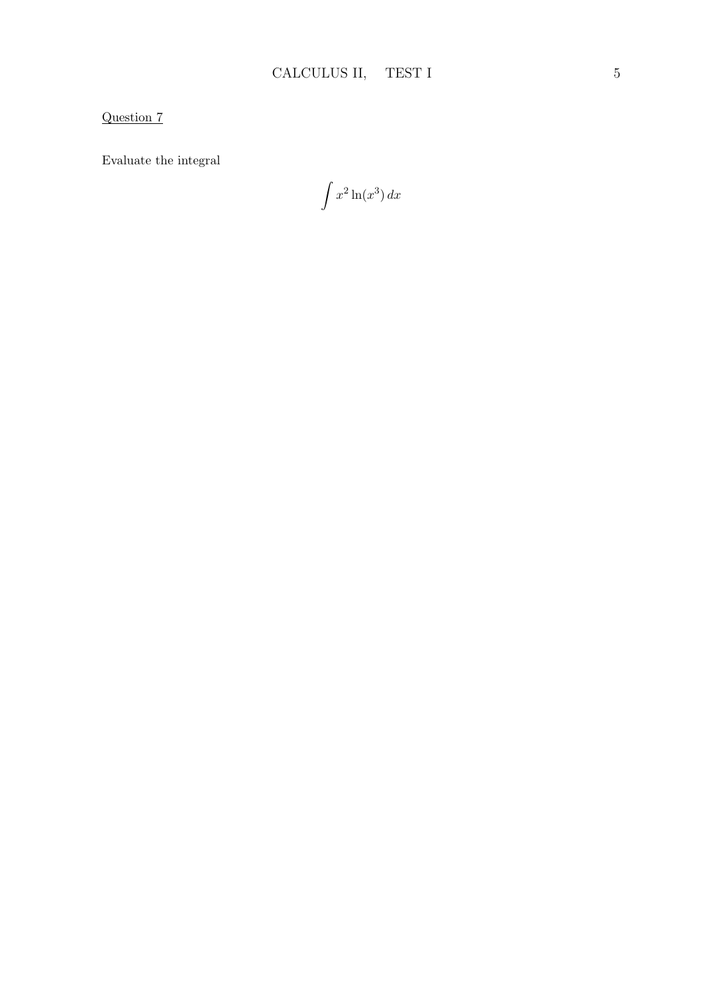Evaluate the integral

 $\int x^2 \ln(x^3) dx$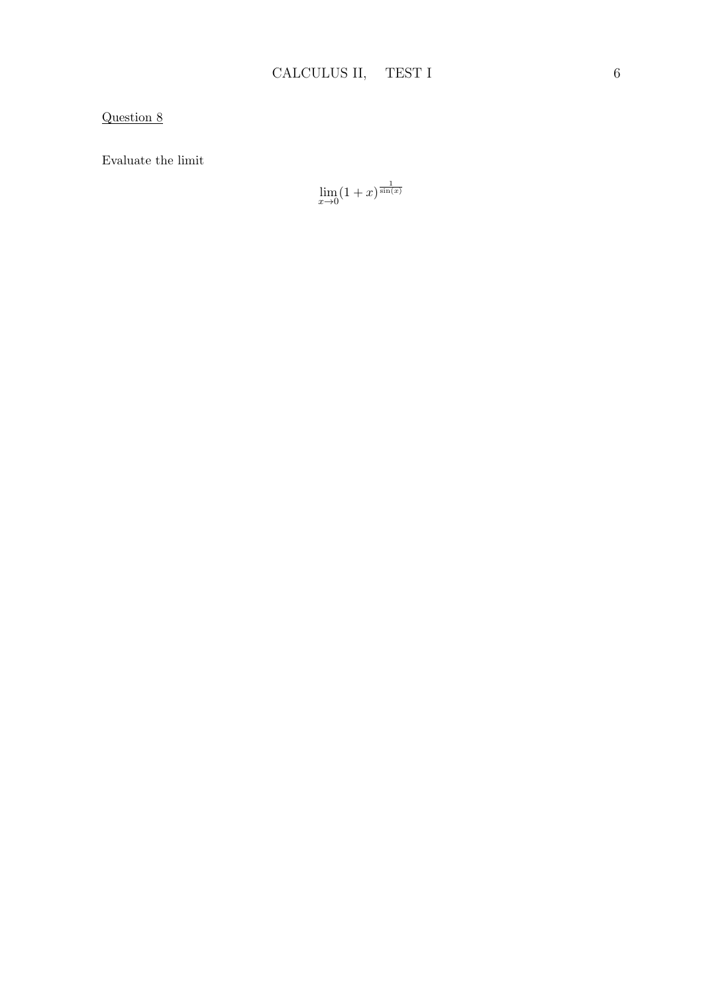Evaluate the limit

$$
\lim_{x \to 0} (1+x)^{\frac{1}{\sin(x)}}
$$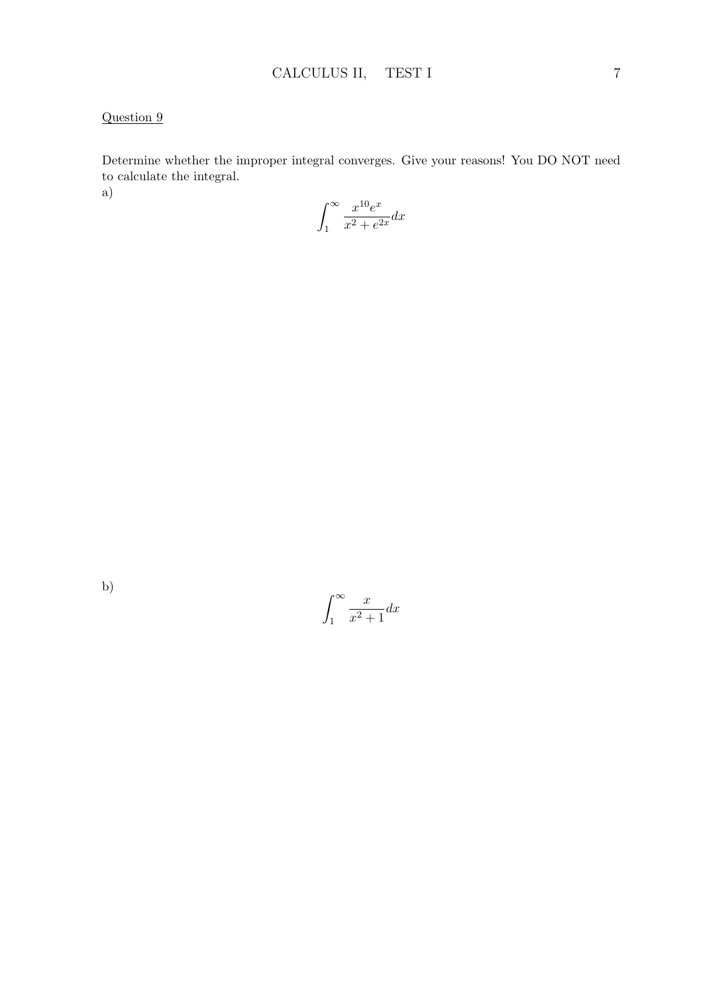Determine whether the improper integral converges. Give your reasons! You DO NOT need to calculate the integral. a)

$$
\int_{1}^{\infty} \frac{x^{10}e^x}{x^2 + e^{2x}} dx
$$

$$
\int_{1}^{\infty} \frac{x}{x^2 + 1} dx
$$